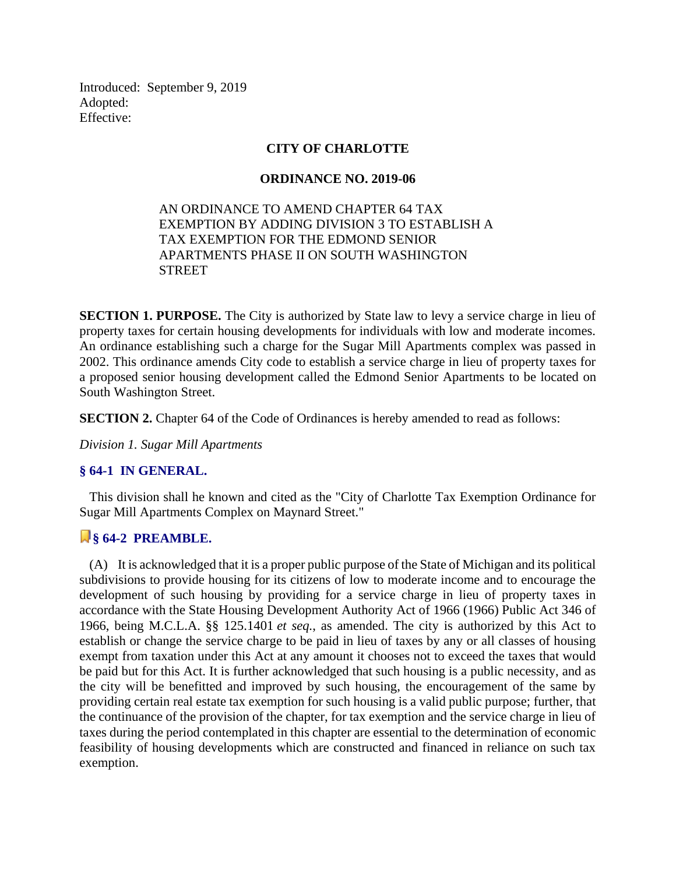Introduced: September 9, 2019 Adopted: Effective:

### **CITY OF CHARLOTTE**

### **ORDINANCE NO. 2019-06**

### AN ORDINANCE TO AMEND CHAPTER 64 TAX EXEMPTION BY ADDING DIVISION 3 TO ESTABLISH A TAX EXEMPTION FOR THE EDMOND SENIOR APARTMENTS PHASE II ON SOUTH WASHINGTON STREET

**SECTION 1. PURPOSE.** The City is authorized by State law to levy a service charge in lieu of property taxes for certain housing developments for individuals with low and moderate incomes. An ordinance establishing such a charge for the Sugar Mill Apartments complex was passed in 2002. This ordinance amends City code to establish a service charge in lieu of property taxes for a proposed senior housing development called the Edmond Senior Apartments to be located on South Washington Street.

**SECTION 2.** Chapter 64 of the Code of Ordinances is hereby amended to read as follows:

*Division 1. Sugar Mill Apartments*

### **§ 64-1 IN GENERAL.**

 This division shall he known and cited as the "City of Charlotte Tax Exemption Ordinance for Sugar Mill Apartments Complex on Maynard Street."

### **§ 64-2 PREAMBLE.**

 (A) It is acknowledged that it is a proper public purpose of the State of Michigan and its political subdivisions to provide housing for its citizens of low to moderate income and to encourage the development of such housing by providing for a service charge in lieu of property taxes in accordance with the State Housing Development Authority Act of 1966 (1966) Public Act 346 of 1966, being M.C.L.A. §§ 125.1401 *et seq.*, as amended. The city is authorized by this Act to establish or change the service charge to be paid in lieu of taxes by any or all classes of housing exempt from taxation under this Act at any amount it chooses not to exceed the taxes that would be paid but for this Act. It is further acknowledged that such housing is a public necessity, and as the city will be benefitted and improved by such housing, the encouragement of the same by providing certain real estate tax exemption for such housing is a valid public purpose; further, that the continuance of the provision of the chapter, for tax exemption and the service charge in lieu of taxes during the period contemplated in this chapter are essential to the determination of economic feasibility of housing developments which are constructed and financed in reliance on such tax exemption.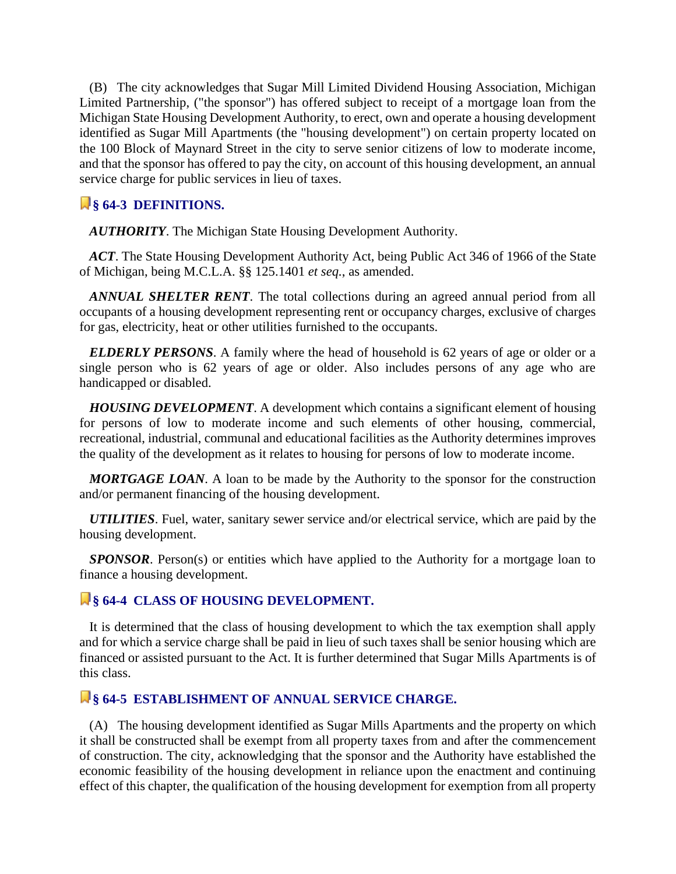(B) The city acknowledges that Sugar Mill Limited Dividend Housing Association, Michigan Limited Partnership, ("the sponsor") has offered subject to receipt of a mortgage loan from the Michigan State Housing Development Authority, to erect, own and operate a housing development identified as Sugar Mill Apartments (the "housing development") on certain property located on the 100 Block of Maynard Street in the city to serve senior citizens of low to moderate income, and that the sponsor has offered to pay the city, on account of this housing development, an annual service charge for public services in lieu of taxes.

### **§ 64-3 DEFINITIONS.**

*AUTHORITY*. The Michigan State Housing Development Authority.

 *ACT*. The State Housing Development Authority Act, being Public Act 346 of 1966 of the State of Michigan, being M.C.L.A. §§ 125.1401 *et seq.*, as amended.

 *ANNUAL SHELTER RENT*. The total collections during an agreed annual period from all occupants of a housing development representing rent or occupancy charges, exclusive of charges for gas, electricity, heat or other utilities furnished to the occupants.

 *ELDERLY PERSONS*. A family where the head of household is 62 years of age or older or a single person who is 62 years of age or older. Also includes persons of any age who are handicapped or disabled.

 *HOUSING DEVELOPMENT*. A development which contains a significant element of housing for persons of low to moderate income and such elements of other housing, commercial, recreational, industrial, communal and educational facilities as the Authority determines improves the quality of the development as it relates to housing for persons of low to moderate income.

 *MORTGAGE LOAN*. A loan to be made by the Authority to the sponsor for the construction and/or permanent financing of the housing development.

 *UTILITIES*. Fuel, water, sanitary sewer service and/or electrical service, which are paid by the housing development.

*SPONSOR*. Person(s) or entities which have applied to the Authority for a mortgage loan to finance a housing development.

### **§ 64-4 CLASS OF HOUSING DEVELOPMENT.**

 It is determined that the class of housing development to which the tax exemption shall apply and for which a service charge shall be paid in lieu of such taxes shall be senior housing which are financed or assisted pursuant to the Act. It is further determined that Sugar Mills Apartments is of this class.

# **§ 64-5 ESTABLISHMENT OF ANNUAL SERVICE CHARGE.**

 (A) The housing development identified as Sugar Mills Apartments and the property on which it shall be constructed shall be exempt from all property taxes from and after the commencement of construction. The city, acknowledging that the sponsor and the Authority have established the economic feasibility of the housing development in reliance upon the enactment and continuing effect of this chapter, the qualification of the housing development for exemption from all property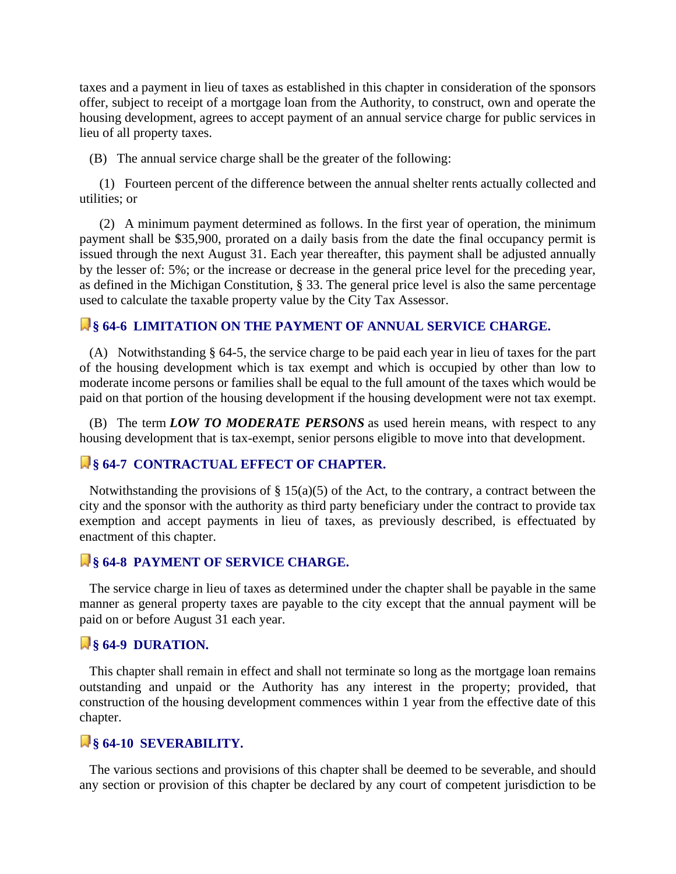taxes and a payment in lieu of taxes as established in this chapter in consideration of the sponsors offer, subject to receipt of a mortgage loan from the Authority, to construct, own and operate the housing development, agrees to accept payment of an annual service charge for public services in lieu of all property taxes.

(B) The annual service charge shall be the greater of the following:

 (1) Fourteen percent of the difference between the annual shelter rents actually collected and utilities; or

 (2) A minimum payment determined as follows. In the first year of operation, the minimum payment shall be \$35,900, prorated on a daily basis from the date the final occupancy permit is issued through the next August 31. Each year thereafter, this payment shall be adjusted annually by the lesser of: 5%; or the increase or decrease in the general price level for the preceding year, as defined in the Michigan Constitution, § 33. The general price level is also the same percentage used to calculate the taxable property value by the City Tax Assessor.

### **§ 64-6 LIMITATION ON THE PAYMENT OF ANNUAL SERVICE CHARGE.**

 (A) Notwithstanding § 64-5, the service charge to be paid each year in lieu of taxes for the part of the housing development which is tax exempt and which is occupied by other than low to moderate income persons or families shall be equal to the full amount of the taxes which would be paid on that portion of the housing development if the housing development were not tax exempt.

 (B) The term *LOW TO MODERATE PERSONS* as used herein means, with respect to any housing development that is tax-exempt, senior persons eligible to move into that development.

### **§ 64-7 CONTRACTUAL EFFECT OF CHAPTER.**

Notwithstanding the provisions of  $\S$  15(a)(5) of the Act, to the contrary, a contract between the city and the sponsor with the authority as third party beneficiary under the contract to provide tax exemption and accept payments in lieu of taxes, as previously described, is effectuated by enactment of this chapter.

### *Q* § 64-8 **PAYMENT OF SERVICE CHARGE.**

 The service charge in lieu of taxes as determined under the chapter shall be payable in the same manner as general property taxes are payable to the city except that the annual payment will be paid on or before August 31 each year.

### **§ 64-9 DURATION.**

 This chapter shall remain in effect and shall not terminate so long as the mortgage loan remains outstanding and unpaid or the Authority has any interest in the property; provided, that construction of the housing development commences within 1 year from the effective date of this chapter.

### **§ 64-10 SEVERABILITY.**

 The various sections and provisions of this chapter shall be deemed to be severable, and should any section or provision of this chapter be declared by any court of competent jurisdiction to be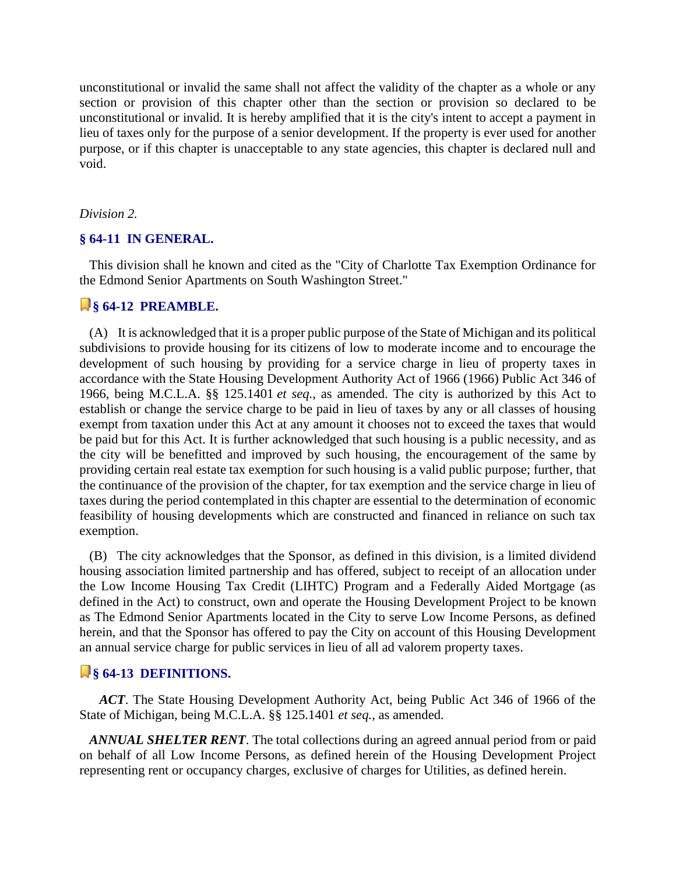unconstitutional or invalid the same shall not affect the validity of the chapter as a whole or any section or provision of this chapter other than the section or provision so declared to be unconstitutional or invalid. It is hereby amplified that it is the city's intent to accept a payment in lieu of taxes only for the purpose of a senior development. If the property is ever used for another purpose, or if this chapter is unacceptable to any state agencies, this chapter is declared null and void.

#### *Division 2.*

#### **§ 64-11 IN GENERAL.**

 This division shall he known and cited as the "City of Charlotte Tax Exemption Ordinance for the Edmond Senior Apartments on South Washington Street."

### **§ 64-12 PREAMBLE.**

 (A) It is acknowledged that it is a proper public purpose of the State of Michigan and its political subdivisions to provide housing for its citizens of low to moderate income and to encourage the development of such housing by providing for a service charge in lieu of property taxes in accordance with the State Housing Development Authority Act of 1966 (1966) Public Act 346 of 1966, being M.C.L.A. §§ 125.1401 *et seq.*, as amended. The city is authorized by this Act to establish or change the service charge to be paid in lieu of taxes by any or all classes of housing exempt from taxation under this Act at any amount it chooses not to exceed the taxes that would be paid but for this Act. It is further acknowledged that such housing is a public necessity, and as the city will be benefitted and improved by such housing, the encouragement of the same by providing certain real estate tax exemption for such housing is a valid public purpose; further, that the continuance of the provision of the chapter, for tax exemption and the service charge in lieu of taxes during the period contemplated in this chapter are essential to the determination of economic feasibility of housing developments which are constructed and financed in reliance on such tax exemption.

 (B) The city acknowledges that the Sponsor, as defined in this division, is a limited dividend housing association limited partnership and has offered, subject to receipt of an allocation under the Low Income Housing Tax Credit (LIHTC) Program and a Federally Aided Mortgage (as defined in the Act) to construct, own and operate the Housing Development Project to be known as The Edmond Senior Apartments located in the City to serve Low Income Persons, as defined herein, and that the Sponsor has offered to pay the City on account of this Housing Development an annual service charge for public services in lieu of all ad valorem property taxes.

### **§ 64-13 DEFINITIONS.**

 *ACT*. The State Housing Development Authority Act, being Public Act 346 of 1966 of the State of Michigan, being M.C.L.A. §§ 125.1401 *et seq.*, as amended.

 *ANNUAL SHELTER RENT*. The total collections during an agreed annual period from or paid on behalf of all Low Income Persons, as defined herein of the Housing Development Project representing rent or occupancy charges, exclusive of charges for Utilities, as defined herein.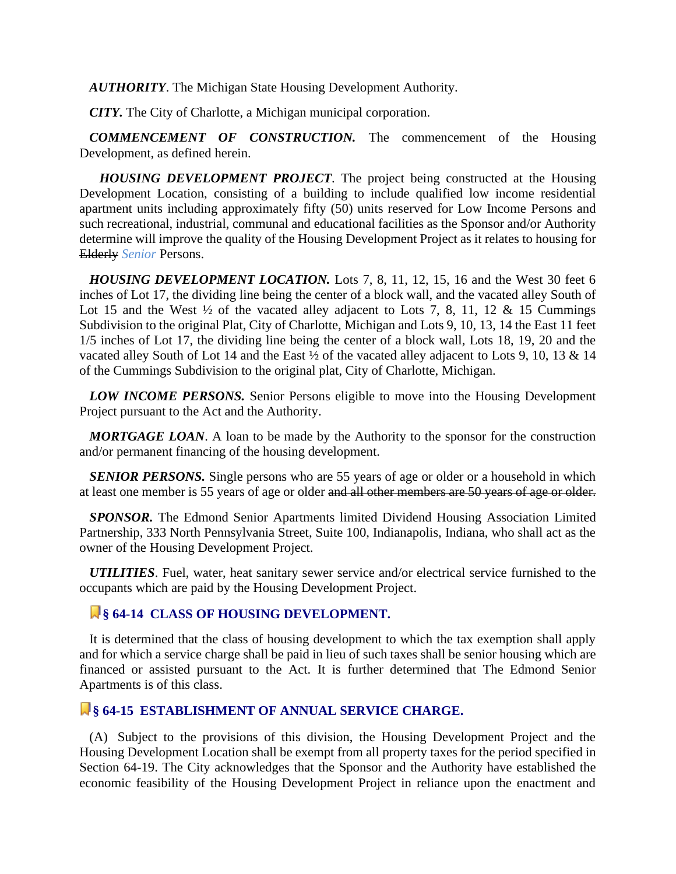*AUTHORITY*. The Michigan State Housing Development Authority.

*CITY.* The City of Charlotte, a Michigan municipal corporation.

 *COMMENCEMENT OF CONSTRUCTION.* The commencement of the Housing Development, as defined herein.

 *HOUSING DEVELOPMENT PROJECT*. The project being constructed at the Housing Development Location, consisting of a building to include qualified low income residential apartment units including approximately fifty (50) units reserved for Low Income Persons and such recreational, industrial, communal and educational facilities as the Sponsor and/or Authority determine will improve the quality of the Housing Development Project as it relates to housing for Elderly *Senior* Persons.

 *HOUSING DEVELOPMENT LOCATION.* Lots 7, 8, 11, 12, 15, 16 and the West 30 feet 6 inches of Lot 17, the dividing line being the center of a block wall, and the vacated alley South of Lot 15 and the West  $\frac{1}{2}$  of the vacated alley adjacent to Lots 7, 8, 11, 12 & 15 Cummings Subdivision to the original Plat, City of Charlotte, Michigan and Lots 9, 10, 13, 14 the East 11 feet 1/5 inches of Lot 17, the dividing line being the center of a block wall, Lots 18, 19, 20 and the vacated alley South of Lot 14 and the East ½ of the vacated alley adjacent to Lots 9, 10, 13 & 14 of the Cummings Subdivision to the original plat, City of Charlotte, Michigan.

 *LOW INCOME PERSONS.* Senior Persons eligible to move into the Housing Development Project pursuant to the Act and the Authority.

 *MORTGAGE LOAN*. A loan to be made by the Authority to the sponsor for the construction and/or permanent financing of the housing development.

*SENIOR PERSONS.* Single persons who are 55 years of age or older or a household in which at least one member is 55 years of age or older and all other members are 50 years of age or older.

 *SPONSOR.* The Edmond Senior Apartments limited Dividend Housing Association Limited Partnership, 333 North Pennsylvania Street, Suite 100, Indianapolis, Indiana, who shall act as the owner of the Housing Development Project.

 *UTILITIES*. Fuel, water, heat sanitary sewer service and/or electrical service furnished to the occupants which are paid by the Housing Development Project.

### **§ 64-14 CLASS OF HOUSING DEVELOPMENT.**

 It is determined that the class of housing development to which the tax exemption shall apply and for which a service charge shall be paid in lieu of such taxes shall be senior housing which are financed or assisted pursuant to the Act. It is further determined that The Edmond Senior Apartments is of this class.

### **§ 64-15 ESTABLISHMENT OF ANNUAL SERVICE CHARGE.**

 (A) Subject to the provisions of this division, the Housing Development Project and the Housing Development Location shall be exempt from all property taxes for the period specified in Section 64-19. The City acknowledges that the Sponsor and the Authority have established the economic feasibility of the Housing Development Project in reliance upon the enactment and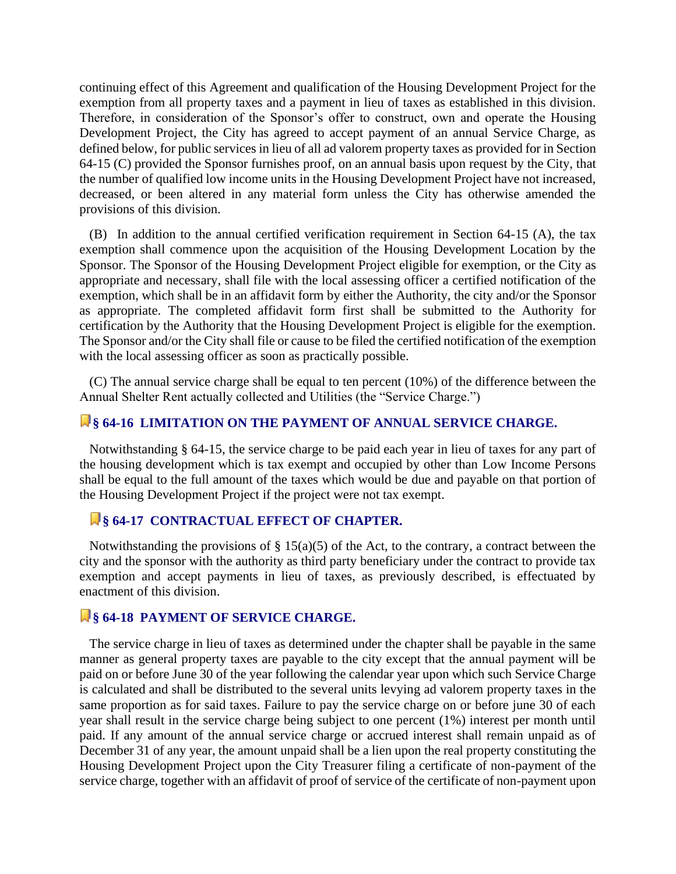continuing effect of this Agreement and qualification of the Housing Development Project for the exemption from all property taxes and a payment in lieu of taxes as established in this division. Therefore, in consideration of the Sponsor's offer to construct, own and operate the Housing Development Project, the City has agreed to accept payment of an annual Service Charge, as defined below, for public services in lieu of all ad valorem property taxes as provided for in Section 64-15 (C) provided the Sponsor furnishes proof, on an annual basis upon request by the City, that the number of qualified low income units in the Housing Development Project have not increased, decreased, or been altered in any material form unless the City has otherwise amended the provisions of this division.

 (B) In addition to the annual certified verification requirement in Section 64-15 (A), the tax exemption shall commence upon the acquisition of the Housing Development Location by the Sponsor. The Sponsor of the Housing Development Project eligible for exemption, or the City as appropriate and necessary, shall file with the local assessing officer a certified notification of the exemption, which shall be in an affidavit form by either the Authority, the city and/or the Sponsor as appropriate. The completed affidavit form first shall be submitted to the Authority for certification by the Authority that the Housing Development Project is eligible for the exemption. The Sponsor and/or the City shall file or cause to be filed the certified notification of the exemption with the local assessing officer as soon as practically possible.

 (C) The annual service charge shall be equal to ten percent (10%) of the difference between the Annual Shelter Rent actually collected and Utilities (the "Service Charge.")

### **§ 64-16 LIMITATION ON THE PAYMENT OF ANNUAL SERVICE CHARGE.**

 Notwithstanding § 64-15, the service charge to be paid each year in lieu of taxes for any part of the housing development which is tax exempt and occupied by other than Low Income Persons shall be equal to the full amount of the taxes which would be due and payable on that portion of the Housing Development Project if the project were not tax exempt.

#### **§ 64-17 CONTRACTUAL EFFECT OF CHAPTER.**

Notwithstanding the provisions of  $\S$  15(a)(5) of the Act, to the contrary, a contract between the city and the sponsor with the authority as third party beneficiary under the contract to provide tax exemption and accept payments in lieu of taxes, as previously described, is effectuated by enactment of this division.

### **§ 64-18 PAYMENT OF SERVICE CHARGE.**

 The service charge in lieu of taxes as determined under the chapter shall be payable in the same manner as general property taxes are payable to the city except that the annual payment will be paid on or before June 30 of the year following the calendar year upon which such Service Charge is calculated and shall be distributed to the several units levying ad valorem property taxes in the same proportion as for said taxes. Failure to pay the service charge on or before june 30 of each year shall result in the service charge being subject to one percent (1%) interest per month until paid. If any amount of the annual service charge or accrued interest shall remain unpaid as of December 31 of any year, the amount unpaid shall be a lien upon the real property constituting the Housing Development Project upon the City Treasurer filing a certificate of non-payment of the service charge, together with an affidavit of proof of service of the certificate of non-payment upon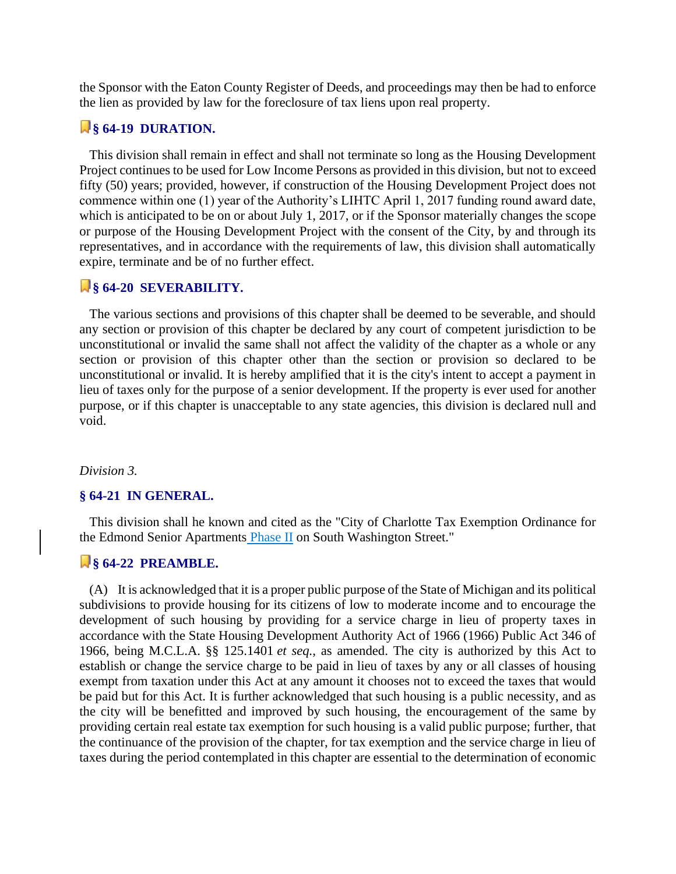the Sponsor with the Eaton County Register of Deeds, and proceedings may then be had to enforce the lien as provided by law for the foreclosure of tax liens upon real property.

# **§ 64-19 DURATION.**

 This division shall remain in effect and shall not terminate so long as the Housing Development Project continues to be used for Low Income Persons as provided in this division, but not to exceed fifty (50) years; provided, however, if construction of the Housing Development Project does not commence within one (1) year of the Authority's LIHTC April 1, 2017 funding round award date, which is anticipated to be on or about July 1, 2017, or if the Sponsor materially changes the scope or purpose of the Housing Development Project with the consent of the City, by and through its representatives, and in accordance with the requirements of law, this division shall automatically expire, terminate and be of no further effect.

### **§ 64-20 SEVERABILITY.**

 The various sections and provisions of this chapter shall be deemed to be severable, and should any section or provision of this chapter be declared by any court of competent jurisdiction to be unconstitutional or invalid the same shall not affect the validity of the chapter as a whole or any section or provision of this chapter other than the section or provision so declared to be unconstitutional or invalid. It is hereby amplified that it is the city's intent to accept a payment in lieu of taxes only for the purpose of a senior development. If the property is ever used for another purpose, or if this chapter is unacceptable to any state agencies, this division is declared null and void.

#### *Division 3.*

#### **§ 64-21 IN GENERAL.**

 This division shall he known and cited as the "City of Charlotte Tax Exemption Ordinance for the Edmond Senior Apartments Phase II on South Washington Street."

### **§ 64-22 PREAMBLE.**

 (A) It is acknowledged that it is a proper public purpose of the State of Michigan and its political subdivisions to provide housing for its citizens of low to moderate income and to encourage the development of such housing by providing for a service charge in lieu of property taxes in accordance with the State Housing Development Authority Act of 1966 (1966) Public Act 346 of 1966, being M.C.L.A. §§ 125.1401 *et seq.*, as amended. The city is authorized by this Act to establish or change the service charge to be paid in lieu of taxes by any or all classes of housing exempt from taxation under this Act at any amount it chooses not to exceed the taxes that would be paid but for this Act. It is further acknowledged that such housing is a public necessity, and as the city will be benefitted and improved by such housing, the encouragement of the same by providing certain real estate tax exemption for such housing is a valid public purpose; further, that the continuance of the provision of the chapter, for tax exemption and the service charge in lieu of taxes during the period contemplated in this chapter are essential to the determination of economic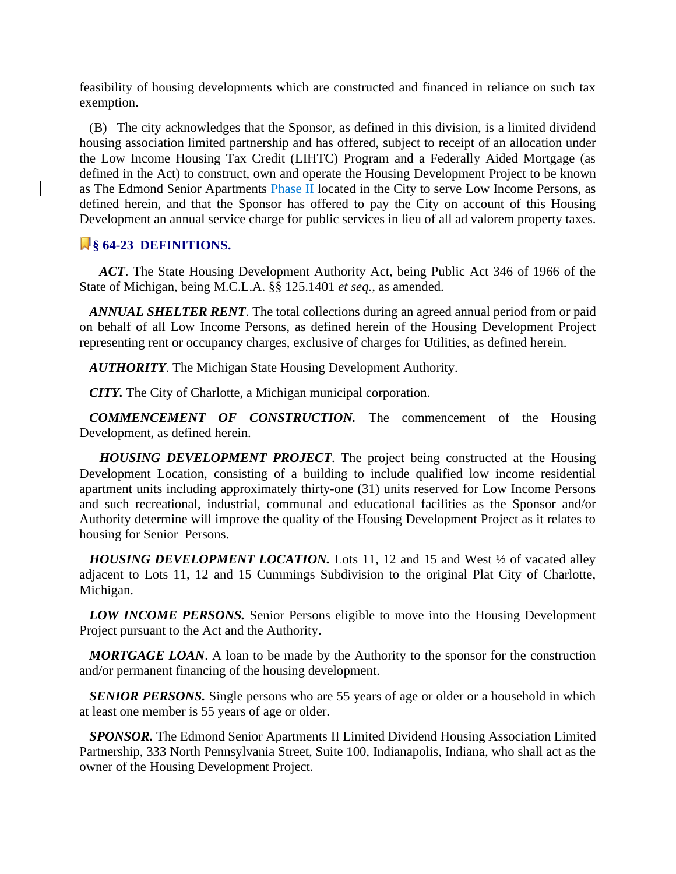feasibility of housing developments which are constructed and financed in reliance on such tax exemption.

 (B) The city acknowledges that the Sponsor, as defined in this division, is a limited dividend housing association limited partnership and has offered, subject to receipt of an allocation under the Low Income Housing Tax Credit (LIHTC) Program and a Federally Aided Mortgage (as defined in the Act) to construct, own and operate the Housing Development Project to be known as The Edmond Senior Apartments Phase II located in the City to serve Low Income Persons, as defined herein, and that the Sponsor has offered to pay the City on account of this Housing Development an annual service charge for public services in lieu of all ad valorem property taxes.

### **§ 64-23 DEFINITIONS.**

 *ACT*. The State Housing Development Authority Act, being Public Act 346 of 1966 of the State of Michigan, being M.C.L.A. §§ 125.1401 *et seq.*, as amended.

 *ANNUAL SHELTER RENT*. The total collections during an agreed annual period from or paid on behalf of all Low Income Persons, as defined herein of the Housing Development Project representing rent or occupancy charges, exclusive of charges for Utilities, as defined herein.

 *AUTHORITY*. The Michigan State Housing Development Authority.

*CITY.* The City of Charlotte, a Michigan municipal corporation.

 *COMMENCEMENT OF CONSTRUCTION.* The commencement of the Housing Development, as defined herein.

 *HOUSING DEVELOPMENT PROJECT*. The project being constructed at the Housing Development Location, consisting of a building to include qualified low income residential apartment units including approximately thirty-one (31) units reserved for Low Income Persons and such recreational, industrial, communal and educational facilities as the Sponsor and/or Authority determine will improve the quality of the Housing Development Project as it relates to housing for Senior Persons.

*HOUSING DEVELOPMENT LOCATION*. Lots 11, 12 and 15 and West 1/2 of vacated alley adjacent to Lots 11, 12 and 15 Cummings Subdivision to the original Plat City of Charlotte, Michigan.

 *LOW INCOME PERSONS.* Senior Persons eligible to move into the Housing Development Project pursuant to the Act and the Authority.

 *MORTGAGE LOAN*. A loan to be made by the Authority to the sponsor for the construction and/or permanent financing of the housing development.

**SENIOR PERSONS.** Single persons who are 55 years of age or older or a household in which at least one member is 55 years of age or older.

 *SPONSOR.* The Edmond Senior Apartments II Limited Dividend Housing Association Limited Partnership, 333 North Pennsylvania Street, Suite 100, Indianapolis, Indiana, who shall act as the owner of the Housing Development Project.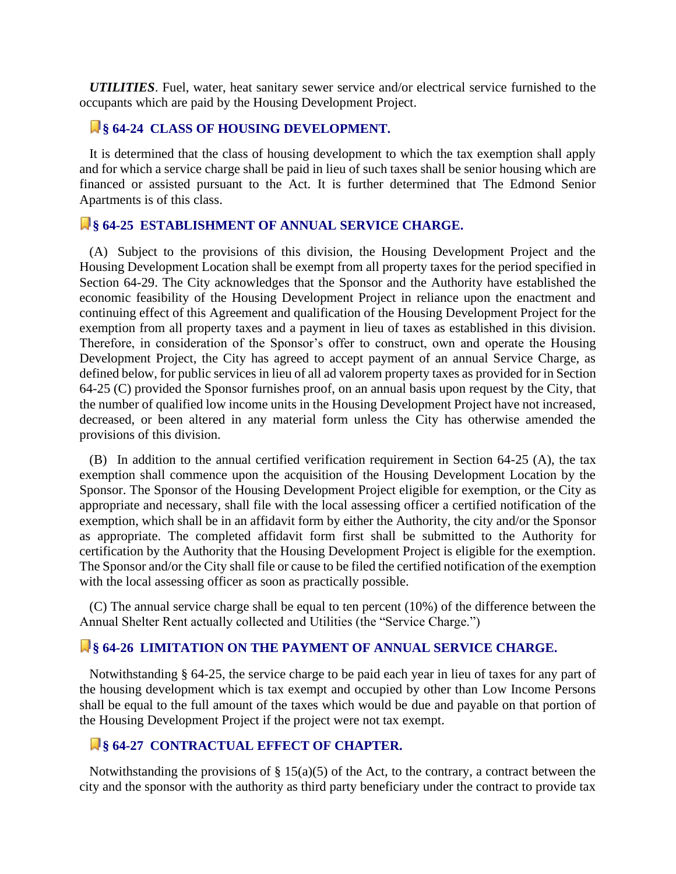*UTILITIES*. Fuel, water, heat sanitary sewer service and/or electrical service furnished to the occupants which are paid by the Housing Development Project.

### **§ 64-24 CLASS OF HOUSING DEVELOPMENT.**

 It is determined that the class of housing development to which the tax exemption shall apply and for which a service charge shall be paid in lieu of such taxes shall be senior housing which are financed or assisted pursuant to the Act. It is further determined that The Edmond Senior Apartments is of this class.

### **§ 64-25 ESTABLISHMENT OF ANNUAL SERVICE CHARGE.**

 (A) Subject to the provisions of this division, the Housing Development Project and the Housing Development Location shall be exempt from all property taxes for the period specified in Section 64-29. The City acknowledges that the Sponsor and the Authority have established the economic feasibility of the Housing Development Project in reliance upon the enactment and continuing effect of this Agreement and qualification of the Housing Development Project for the exemption from all property taxes and a payment in lieu of taxes as established in this division. Therefore, in consideration of the Sponsor's offer to construct, own and operate the Housing Development Project, the City has agreed to accept payment of an annual Service Charge, as defined below, for public services in lieu of all ad valorem property taxes as provided for in Section 64-25 (C) provided the Sponsor furnishes proof, on an annual basis upon request by the City, that the number of qualified low income units in the Housing Development Project have not increased, decreased, or been altered in any material form unless the City has otherwise amended the provisions of this division.

 (B) In addition to the annual certified verification requirement in Section 64-25 (A), the tax exemption shall commence upon the acquisition of the Housing Development Location by the Sponsor. The Sponsor of the Housing Development Project eligible for exemption, or the City as appropriate and necessary, shall file with the local assessing officer a certified notification of the exemption, which shall be in an affidavit form by either the Authority, the city and/or the Sponsor as appropriate. The completed affidavit form first shall be submitted to the Authority for certification by the Authority that the Housing Development Project is eligible for the exemption. The Sponsor and/or the City shall file or cause to be filed the certified notification of the exemption with the local assessing officer as soon as practically possible.

 (C) The annual service charge shall be equal to ten percent (10%) of the difference between the Annual Shelter Rent actually collected and Utilities (the "Service Charge.")

### **§ 64-26 LIMITATION ON THE PAYMENT OF ANNUAL SERVICE CHARGE.**

 Notwithstanding § 64-25, the service charge to be paid each year in lieu of taxes for any part of the housing development which is tax exempt and occupied by other than Low Income Persons shall be equal to the full amount of the taxes which would be due and payable on that portion of the Housing Development Project if the project were not tax exempt.

### **§ 64-27 CONTRACTUAL EFFECT OF CHAPTER.**

Notwithstanding the provisions of  $\S 15(a)(5)$  of the Act, to the contrary, a contract between the city and the sponsor with the authority as third party beneficiary under the contract to provide tax